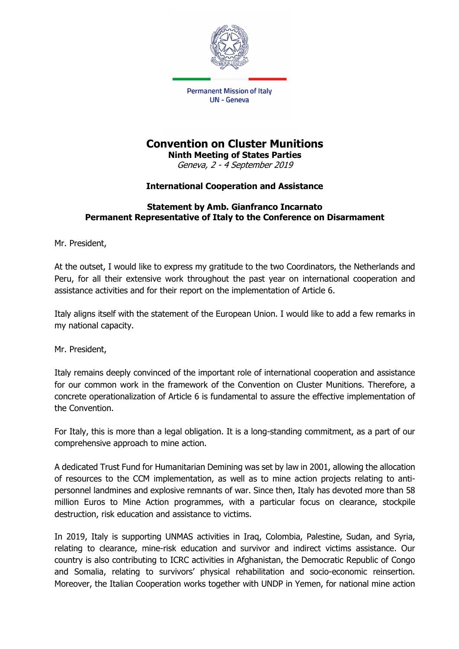

## Convention on Cluster Munitions

Ninth Meeting of States Parties Geneva, 2 - 4 September 2019

## International Cooperation and Assistance

## Statement by Amb. Gianfranco Incarnato Permanent Representative of Italy to the Conference on Disarmament

Mr. President,

At the outset, I would like to express my gratitude to the two Coordinators, the Netherlands and Peru, for all their extensive work throughout the past year on international cooperation and assistance activities and for their report on the implementation of Article 6.

Italy aligns itself with the statement of the European Union. I would like to add a few remarks in my national capacity.

Mr. President,

Italy remains deeply convinced of the important role of international cooperation and assistance for our common work in the framework of the Convention on Cluster Munitions. Therefore, a concrete operationalization of Article 6 is fundamental to assure the effective implementation of the Convention.

For Italy, this is more than a legal obligation. It is a long-standing commitment, as a part of our comprehensive approach to mine action.

A dedicated Trust Fund for Humanitarian Demining was set by law in 2001, allowing the allocation of resources to the CCM implementation, as well as to mine action projects relating to antipersonnel landmines and explosive remnants of war. Since then, Italy has devoted more than 58 million Euros to Mine Action programmes, with a particular focus on clearance, stockpile destruction, risk education and assistance to victims.

In 2019, Italy is supporting UNMAS activities in Iraq, Colombia, Palestine, Sudan, and Syria, relating to clearance, mine-risk education and survivor and indirect victims assistance. Our country is also contributing to ICRC activities in Afghanistan, the Democratic Republic of Congo and Somalia, relating to survivors' physical rehabilitation and socio-economic reinsertion. Moreover, the Italian Cooperation works together with UNDP in Yemen, for national mine action